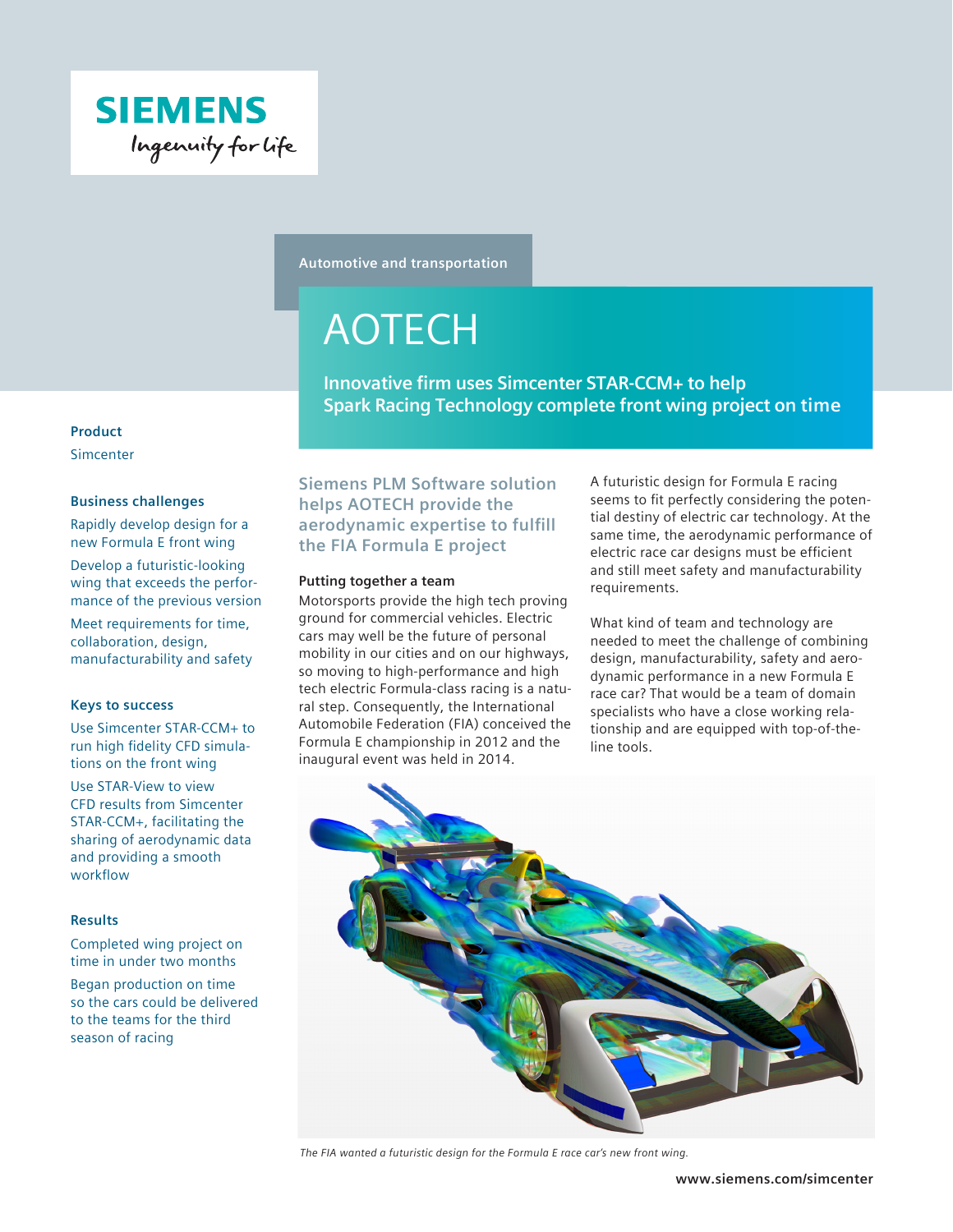

**Automotive and transportation**

# AOTECH

**Innovative firm uses Simcenter STAR-CCM+ to help Spark Racing Technology complete front wing project on time**

# **Product**

Simcenter

# **Business challenges**

Rapidly develop design for a new Formula E front wing

Develop a futuristic-looking wing that exceeds the performance of the previous version

Meet requirements for time, collaboration, design, manufacturability and safety

# **Keys to success**

Use Simcenter STAR-CCM+ to run high fidelity CFD simulations on the front wing

Use STAR-View to view CFD results from Simcenter STAR-CCM+, facilitating the sharing of aerodynamic data and providing a smooth workflow

# **Results**

Completed wing project on time in under two months

Began production on time so the cars could be delivered to the teams for the third season of racing

# **Siemens PLM Software solution helps AOTECH provide the aerodynamic expertise to fulfill the FIA Formula E project**

#### **Putting together a team**

Motorsports provide the high tech proving ground for commercial vehicles. Electric cars may well be the future of personal mobility in our cities and on our highways, so moving to high-performance and high tech electric Formula-class racing is a natural step. Consequently, the International Automobile Federation (FIA) conceived the Formula E championship in 2012 and the inaugural event was held in 2014.

A futuristic design for Formula E racing seems to fit perfectly considering the potential destiny of electric car technology. At the same time, the aerodynamic performance of electric race car designs must be efficient and still meet safety and manufacturability requirements.

What kind of team and technology are needed to meet the challenge of combining design, manufacturability, safety and aerodynamic performance in a new Formula E race car? That would be a team of domain specialists who have a close working relationship and are equipped with top-of-theline tools.



*The FIA wanted a futuristic design for the Formula E race car's new front wing.*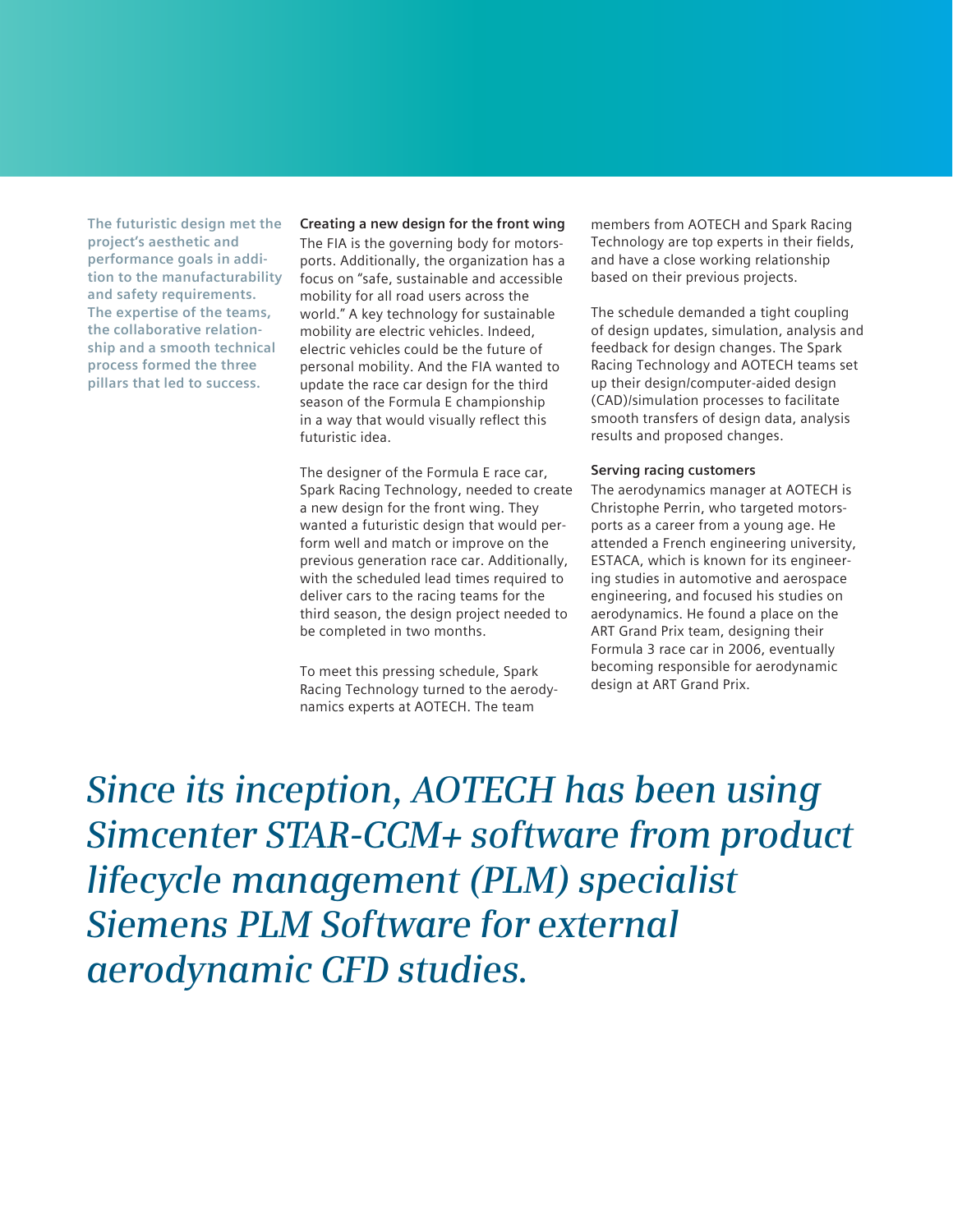**The futuristic design met the project's aesthetic and performance goals in addition to the manufacturability and safety requirements. The expertise of the teams, the collaborative relationship and a smooth technical process formed the three pillars that led to success.**

#### **Creating a new design for the front wing**

The FIA is the governing body for motorsports. Additionally, the organization has a focus on "safe, sustainable and accessible mobility for all road users across the world." A key technology for sustainable mobility are electric vehicles. Indeed, electric vehicles could be the future of personal mobility. And the FIA wanted to update the race car design for the third season of the Formula E championship in a way that would visually reflect this futuristic idea.

The designer of the Formula E race car, Spark Racing Technology, needed to create a new design for the front wing. They wanted a futuristic design that would perform well and match or improve on the previous generation race car. Additionally, with the scheduled lead times required to deliver cars to the racing teams for the third season, the design project needed to be completed in two months.

To meet this pressing schedule, Spark Racing Technology turned to the aerodynamics experts at AOTECH. The team

members from AOTECH and Spark Racing Technology are top experts in their fields, and have a close working relationship based on their previous projects.

The schedule demanded a tight coupling of design updates, simulation, analysis and feedback for design changes. The Spark Racing Technology and AOTECH teams set up their design/computer-aided design (CAD)/simulation processes to facilitate smooth transfers of design data, analysis results and proposed changes.

#### **Serving racing customers**

The aerodynamics manager at AOTECH is Christophe Perrin, who targeted motorsports as a career from a young age. He attended a French engineering university, ESTACA, which is known for its engineering studies in automotive and aerospace engineering, and focused his studies on aerodynamics. He found a place on the ART Grand Prix team, designing their Formula 3 race car in 2006, eventually becoming responsible for aerodynamic design at ART Grand Prix.

*Since its inception, AOTECH has been using Simcenter STAR-CCM+ software from product lifecycle management (PLM) specialist Siemens PLM Software for external aerodynamic CFD studies.*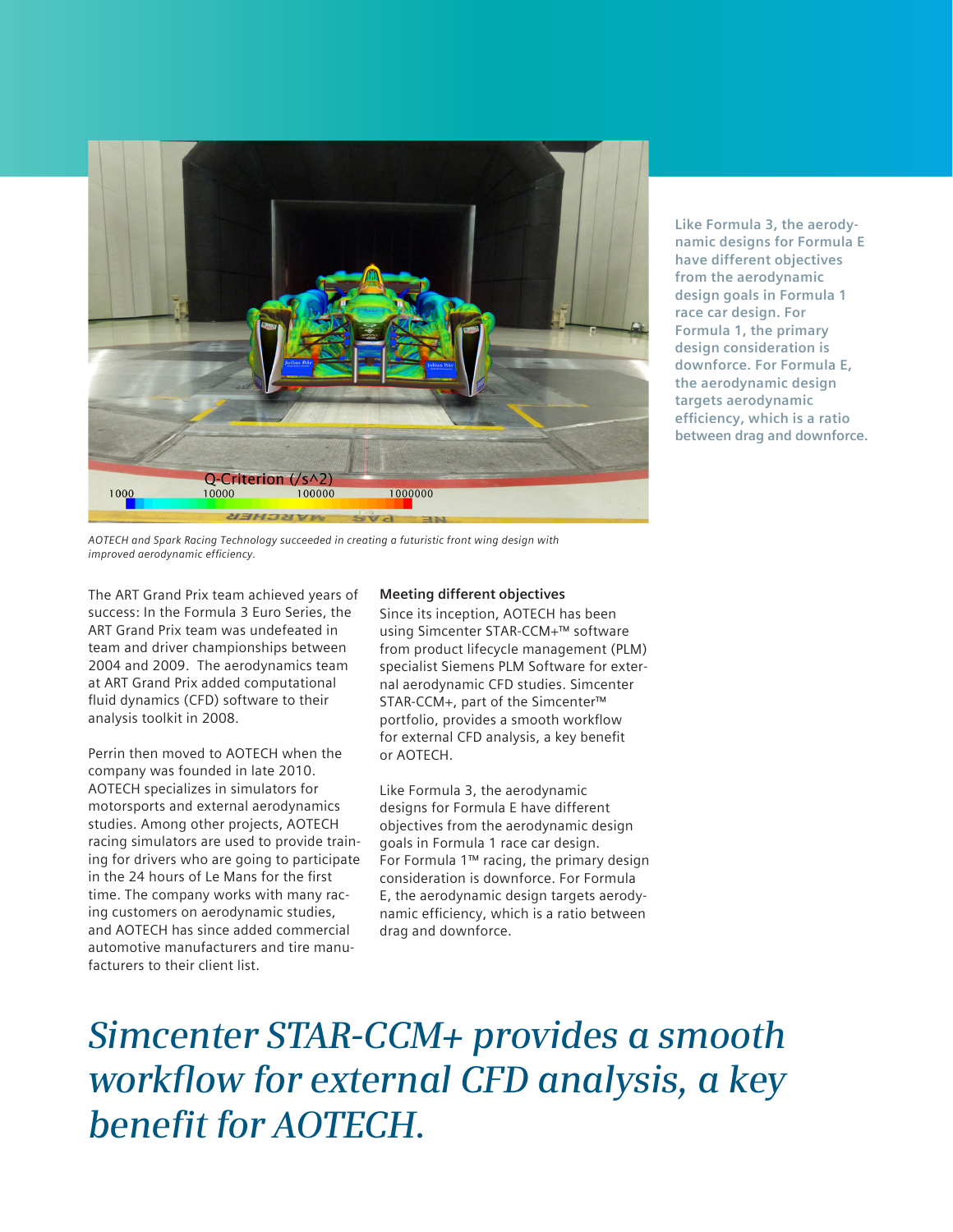

**Like Formula 3, the aerodynamic designs for Formula E have different objectives from the aerodynamic design goals in Formula 1 race car design. For Formula 1, the primary design consideration is downforce. For Formula E, the aerodynamic design targets aerodynamic efficiency, which is a ratio between drag and downforce.** 

*AOTECH and Spark Racing Technology succeeded in creating a futuristic front wing design with improved aerodynamic efficiency.*

The ART Grand Prix team achieved years of success: In the Formula 3 Euro Series, the ART Grand Prix team was undefeated in team and driver championships between 2004 and 2009. The aerodynamics team at ART Grand Prix added computational fluid dynamics (CFD) software to their analysis toolkit in 2008.

Perrin then moved to AOTECH when the company was founded in late 2010. AOTECH specializes in simulators for motorsports and external aerodynamics studies. Among other projects, AOTECH racing simulators are used to provide training for drivers who are going to participate in the 24 hours of Le Mans for the first time. The company works with many racing customers on aerodynamic studies, and AOTECH has since added commercial automotive manufacturers and tire manufacturers to their client list.

# **Meeting different objectives**

Since its inception, AOTECH has been using Simcenter STAR-CCM+™ software from product lifecycle management (PLM) specialist Siemens PLM Software for external aerodynamic CFD studies. Simcenter STAR-CCM+, part of the Simcenter<sup>™</sup> portfolio, provides a smooth workflow for external CFD analysis, a key benefit or AOTECH.

Like Formula 3, the aerodynamic designs for Formula E have different objectives from the aerodynamic design goals in Formula 1 race car design. For Formula 1™ racing, the primary design consideration is downforce. For Formula E, the aerodynamic design targets aerodynamic efficiency, which is a ratio between drag and downforce.

*Simcenter STAR-CCM+ provides a smooth workflow for external CFD analysis, a key benefit for AOTECH.*